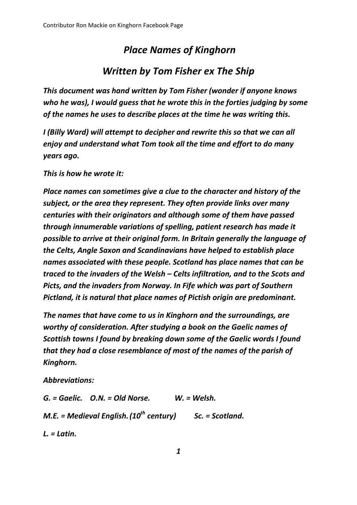## *Place Names of Kinghorn Written by Tom Fisher ex The Ship*

## *This document was hand written by Tom Fisher (wonder if anyone knows who he was), I would guess that he wrote this in the forties judging by some*

*I (Billy Ward) will attempt to decipher and rewrite this so that we can all enjoy and understand what Tom took all the time and effort to do many years ago.*

*of the names he uses to describe places at the time he was writing this.*

*This is how he wrote it:*

*Place names can sometimes give a clue to the character and history of the subject, or the area they represent. They often provide links over many centuries with their originators and although some of them have passed through innumerable variations of spelling, patient research has made it possible to arrive at their original form. In Britain generally the language of the Celts, Angle Saxon and Scandinavians have helped to establish place names associated with these people. Scotland has place names that can be traced to the invaders of the Welsh – Celts infiltration, and to the Scots and Picts, and the invaders from Norway. In Fife which was part of Southern Pictland, it is natural that place names of Pictish origin are predominant.*

*The names that have come to us in Kinghorn and the surroundings, are worthy of consideration. After studying a book on the Gaelic names of Scottish towns I found by breaking down some of the Gaelic words I found that they had a close resemblance of most of the names of the parish of Kinghorn.*

*Abbreviations:*

*G. = Gaelic. O.N. = Old Norse. W. = Welsh. M.E. = Medieval English.(10th century) Sc. = Scotland. L. = Latin.*

*1*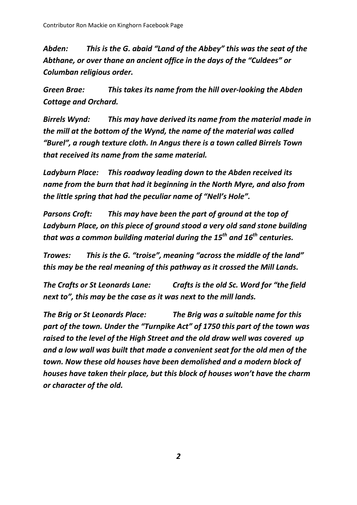*Abden: This is the G. abaid "Land of the Abbey" this was the seat of the Abthane, or over thane an ancient office in the days of the "Culdees" or Columban religious order.*

*Green Brae: This takes its name from the hill over-looking the Abden Cottage and Orchard.*

*Birrels Wynd: This may have derived its name from the material made in the mill at the bottom of the Wynd, the name of the material was called "Burel", a rough texture cloth. In Angus there is a town called Birrels Town that received its name from the same material.*

*Ladyburn Place: This roadway leading down to the Abden received its name from the burn that had it beginning in the North Myre, and also from the little spring that had the peculiar name of "Nell's Hole".*

*Parsons Croft: This may have been the part of ground at the top of Ladyburn Place, on this piece of ground stood a very old sand stone building that was a common building material during the 15th and 16th centuries.*

*Trowes: This is the G. "troise", meaning "across the middle of the land" this may be the real meaning of this pathway as it crossed the Mill Lands.*

*The Crafts or St Leonards Lane: Crafts is the old Sc. Word for "the field next to", this may be the case as it was next to the mill lands.* 

*The Brig or St Leonards Place: The Brig was a suitable name for this part of the town. Under the "Turnpike Act" of 1750 this part of the town was raised to the level of the High Street and the old draw well was covered up and a low wall was built that made a convenient seat for the old men of the town. Now these old houses have been demolished and a modern block of houses have taken their place, but this block of houses won't have the charm or character of the old.*

*2*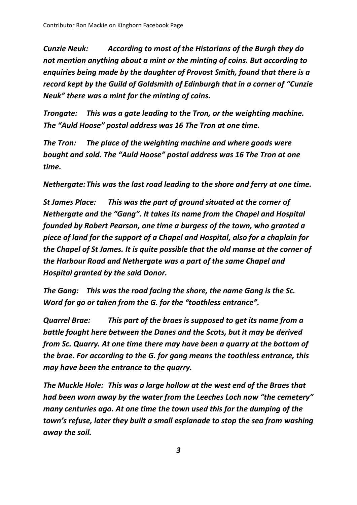*Cunzie Neuk: According to most of the Historians of the Burgh they do not mention anything about a mint or the minting of coins. But according to enquiries being made by the daughter of Provost Smith, found that there is a record kept by the Guild of Goldsmith of Edinburgh that in a corner of "Cunzie Neuk" there was a mint for the minting of coins.*

*Trongate: This was a gate leading to the Tron, or the weighting machine. The "Auld Hoose" postal address was 16 The Tron at one time.*

*The Tron: The place of the weighting machine and where goods were bought and sold. The "Auld Hoose" postal address was 16 The Tron at one time.*

*Nethergate:This was the last road leading to the shore and ferry at one time.*

*St James Place: This was the part of ground situated at the corner of Nethergate and the "Gang". It takes its name from the Chapel and Hospital founded by Robert Pearson, one time a burgess of the town, who granted a piece of land for the support of a Chapel and Hospital, also for a chaplain for the Chapel of St James. It is quite possible that the old manse at the corner of the Harbour Road and Nethergate was a part of the same Chapel and Hospital granted by the said Donor.*

*The Gang: This was the road facing the shore, the name Gang is the Sc. Word for go or taken from the G. for the "toothless entrance".*

*Quarrel Brae: This part of the braes is supposed to get its name from a battle fought here between the Danes and the Scots, but it may be derived from Sc. Quarry. At one time there may have been a quarry at the bottom of the brae. For according to the G. for gang means the toothless entrance, this may have been the entrance to the quarry.*

*The Muckle Hole: This was a large hollow at the west end of the Braes that had been worn away by the water from the Leeches Loch now "the cemetery" many centuries ago. At one time the town used this for the dumping of the town's refuse, later they built a small esplanade to stop the sea from washing away the soil.*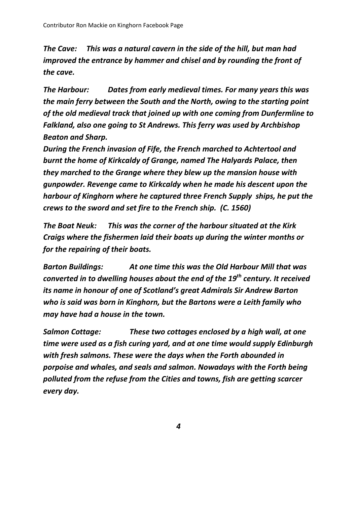*The Cave: This was a natural cavern in the side of the hill, but man had improved the entrance by hammer and chisel and by rounding the front of the cave.*

*The Harbour: Dates from early medieval times. For many years this was the main ferry between the South and the North, owing to the starting point of the old medieval track that joined up with one coming from Dunfermline to Falkland, also one going to St Andrews. This ferry was used by Archbishop Beaton and Sharp.* 

*During the French invasion of Fife, the French marched to Achtertool and burnt the home of Kirkcaldy of Grange, named The Halyards Palace, then they marched to the Grange where they blew up the mansion house with gunpowder. Revenge came to Kirkcaldy when he made his descent upon the harbour of Kinghorn where he captured three French Supply ships, he put the crews to the sword and set fire to the French ship. (C. 1560)*

*The Boat Neuk: This was the corner of the harbour situated at the Kirk Craigs where the fishermen laid their boats up during the winter months or for the repairing of their boats.*

*Barton Buildings: At one time this was the Old Harbour Mill that was converted in to dwelling houses about the end of the 19th century. It received its name in honour of one of Scotland's great Admirals Sir Andrew Barton who is said was born in Kinghorn, but the Bartons were a Leith family who may have had a house in the town.*

*Salmon Cottage: These two cottages enclosed by a high wall, at one time were used as a fish curing yard, and at one time would supply Edinburgh with fresh salmons. These were the days when the Forth abounded in porpoise and whales, and seals and salmon. Nowadays with the Forth being polluted from the refuse from the Cities and towns, fish are getting scarcer every day.*

*4*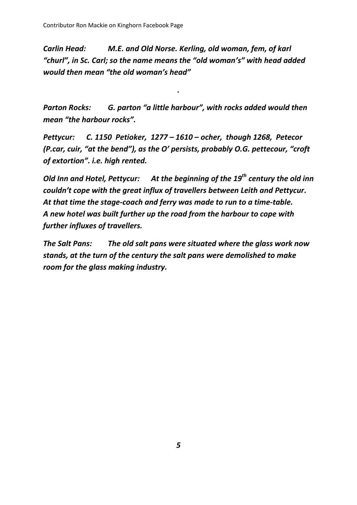*Carlin Head: M.E. and Old Norse. Kerling, old woman, fem, of karl "churl", in Sc. Carl; so the name means the "old woman's" with head added would then mean "the old woman's head"*

*Parton Rocks: G. parton "a little harbour", with rocks added would then mean "the harbour rocks".*

*.*

*Pettycur: C. 1150 Petioker, 1277 – 1610 – ocher, though 1268, Petecor (P.car, cuir, "at the bend"), as the O' persists, probably O.G. pettecour, "croft of extortion". i.e. high rented.*

*Old Inn and Hotel, Pettycur: At the beginning of the 19th century the old inn couldn't cope with the great influx of travellers between Leith and Pettycur. At that time the stage-coach and ferry was made to run to a time-table. A new hotel was built further up the road from the harbour to cope with further influxes of travellers.*

*The Salt Pans: The old salt pans were situated where the glass work now stands, at the turn of the century the salt pans were demolished to make room for the glass making industry.*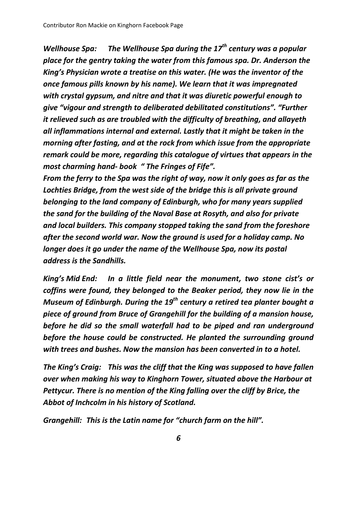*Wellhouse Spa: The Wellhouse Spa during the 17th century was a popular place for the gentry taking the water from this famous spa. Dr. Anderson the King's Physician wrote a treatise on this water. (He was the inventor of the once famous pills known by his name). We learn that it was impregnated with crystal gypsum, and nitre and that it was diuretic powerful enough to give "vigour and strength to deliberated debilitated constitutions". "Further it relieved such as are troubled with the difficulty of breathing, and allayeth all inflammations internal and external. Lastly that it might be taken in the morning after fasting, and at the rock from which issue from the appropriate remark could be more, regarding this catalogue of virtues that appears in the most charming hand- book " The Fringes of Fife".* 

*From the ferry to the Spa was the right of way, now it only goes as far as the Lochties Bridge, from the west side of the bridge this is all private ground belonging to the land company of Edinburgh, who for many years supplied the sand for the building of the Naval Base at Rosyth, and also for private and local builders. This company stopped taking the sand from the foreshore after the second world war. Now the ground is used for a holiday camp. No longer does it go under the name of the Wellhouse Spa, now its postal address is the Sandhills.*

*King's Mid End: In a little field near the monument, two stone cist's or coffins were found, they belonged to the Beaker period, they now lie in the Museum of Edinburgh. During the 19th century a retired tea planter bought a piece of ground from Bruce of Grangehill for the building of a mansion house, before he did so the small waterfall had to be piped and ran underground before the house could be constructed. He planted the surrounding ground with trees and bushes. Now the mansion has been converted in to a hotel.*

*The King's Craig: This was the cliff that the King was supposed to have fallen over when making his way to Kinghorn Tower, situated above the Harbour at Pettycur. There is no mention of the King falling over the cliff by Brice, the Abbot of Inchcolm in his history of Scotland.*

*Grangehill: This is the Latin name for "church farm on the hill".*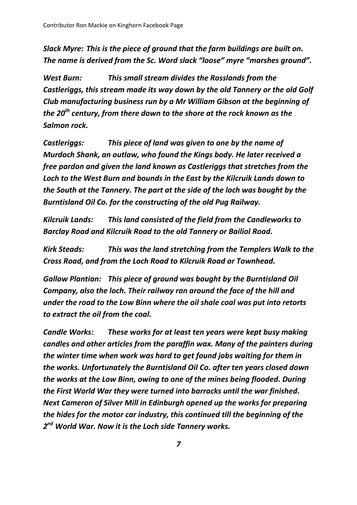*Slack Myre: This is the piece of ground that the farm buildings are built on. The name is derived from the Sc. Word slack "loose" myre "marshes ground".*

*West Burn: This small stream divides the Rosslands from the Castleriggs, this stream made its way down by the old Tannery or the old Golf Club manufacturing business run by a Mr William Gibson at the beginning of the 20th century, from there down to the shore at the rock known as the Salmon rock.*

*Castleriggs: This piece of land was given to one by the name of Murdoch Shank, an outlaw, who found the Kings body. He later received a free pardon and given the land known as Castleriggs that stretches from the Loch to the West Burn and bounds in the East by the Kilcruik Lands down to the South at the Tannery. The part at the side of the loch was bought by the Burntisland Oil Co. for the constructing of the old Pug Railway.*

*Kilcruik Lands: This land consisted of the field from the Candleworks to Barclay Road and Kilcruik Road to the old Tannery or Bailiol Road.*

*Kirk Steads: This was the land stretching from the Templers Walk to the Cross Road, and from the Loch Road to Kilcruik Road or Townhead.*

*Gallow Plantian: This piece of ground was bought by the Burntisland Oil Company, also the loch. Their railway ran around the face of the hill and under the road to the Low Binn where the oil shale coal was put into retorts to extract the oil from the coal.*

*Candle Works: These works for at least ten years were kept busy making candles and other articles from the paraffin wax. Many of the painters during the winter time when work was hard to get found jobs waiting for them in the works. Unfortunately the Burntisland Oil Co. after ten years closed down the works at the Low Binn, owing to one of the mines being flooded. During the First World War they were turned into barracks until the war finished. Next Cameron of Silver Mill in Edinburgh opened up the works for preparing the hides for the motor car industry, this continued till the beginning of the 2 nd World War. Now it is the Loch side Tannery works.*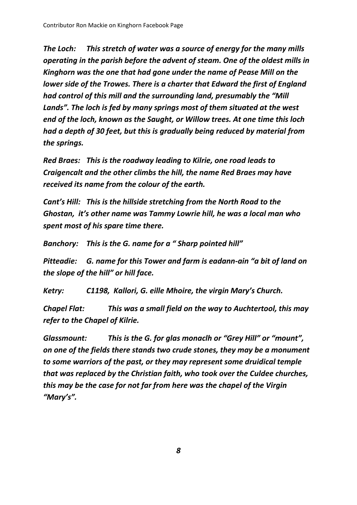*The Loch: This stretch of water was a source of energy for the many mills operating in the parish before the advent of steam. One of the oldest mills in Kinghorn was the one that had gone under the name of Pease Mill on the lower side of the Trowes. There is a charter that Edward the first of England had control of this mill and the surrounding land, presumably the "Mill Lands". The loch is fed by many springs most of them situated at the west end of the loch, known as the Saught, or Willow trees. At one time this loch had a depth of 30 feet, but this is gradually being reduced by material from the springs.* 

*Red Braes: This is the roadway leading to Kilrie, one road leads to Craigencalt and the other climbs the hill, the name Red Braes may have received its name from the colour of the earth.*

*Cant's Hill: This is the hillside stretching from the North Road to the Ghostan, it's other name was Tammy Lowrie hill, he was a local man who spent most of his spare time there.*

*Banchory: This is the G. name for a " Sharp pointed hill"*

*Pitteadie: G. name for this Tower and farm is eadann-ain "a bit of land on the slope of the hill" or hill face.*

*Ketry: C1198, Kallori, G. eille Mhoire, the virgin Mary's Church.*

*Chapel Flat: This was a small field on the way to Auchtertool, this may refer to the Chapel of Kilrie.*

*Glassmount: This is the G. for glas monaclh or "Grey Hill" or "mount", on one of the fields there stands two crude stones, they may be a monument to some warriors of the past, or they may represent some druidical temple that was replaced by the Christian faith, who took over the Culdee churches, this may be the case for not far from here was the chapel of the Virgin "Mary's".*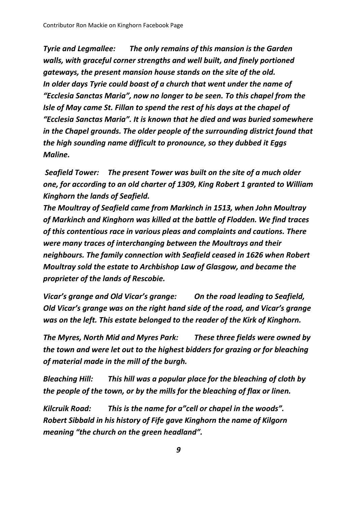*Tyrie and Legmallee: The only remains of this mansion is the Garden walls, with graceful corner strengths and well built, and finely portioned gateways, the present mansion house stands on the site of the old. In older days Tyrie could boast of a church that went under the name of "Ecclesia Sanctas Maria", now no longer to be seen. To this chapel from the Isle of May came St. Fillan to spend the rest of his days at the chapel of "Ecclesia Sanctas Maria". It is known that he died and was buried somewhere in the Chapel grounds. The older people of the surrounding district found that the high sounding name difficult to pronounce, so they dubbed it Eggs Maline.* 

*Seafield Tower: The present Tower was built on the site of a much older one, for according to an old charter of 1309, King Robert 1 granted to William Kinghorn the lands of Seafield.* 

*The Moultray of Seafield came from Markinch in 1513, when John Moultray of Markinch and Kinghorn was killed at the battle of Flodden. We find traces of this contentious race in various pleas and complaints and cautions. There were many traces of interchanging between the Moultrays and their neighbours. The family connection with Seafield ceased in 1626 when Robert Moultray sold the estate to Archbishop Law of Glasgow, and became the proprieter of the lands of Rescobie.*

*Vicar's grange and Old Vicar's grange: On the road leading to Seafield, Old Vicar's grange was on the right hand side of the road, and Vicar's grange was on the left. This estate belonged to the reader of the Kirk of Kinghorn.* 

*The Myres, North Mid and Myres Park: These three fields were owned by the town and were let out to the highest bidders for grazing or for bleaching of material made in the mill of the burgh.*

*Bleaching Hill: This hill was a popular place for the bleaching of cloth by the people of the town, or by the mills for the bleaching of flax or linen.*

*Kilcruik Road: This is the name for a"cell or chapel in the woods". Robert Sibbald in his history of Fife gave Kinghorn the name of Kilgorn meaning "the church on the green headland".*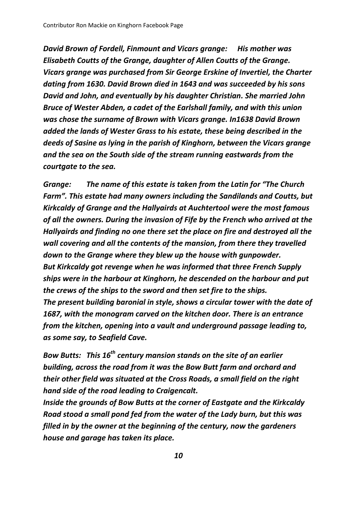*David Brown of Fordell, Finmount and Vicars grange: His mother was Elisabeth Coutts of the Grange, daughter of Allen Coutts of the Grange. Vicars grange was purchased from Sir George Erskine of Invertiel, the Charter dating from 1630. David Brown died in 1643 and was succeeded by his sons David and John, and eventually by his daughter Christian. She married John Bruce of Wester Abden, a cadet of the Earlshall family, and with this union was chose the surname of Brown with Vicars grange. In1638 David Brown added the lands of Wester Grass to his estate, these being described in the deeds of Sasine as lying in the parish of Kinghorn, between the Vicars grange and the sea on the South side of the stream running eastwards from the courtgate to the sea.*

*Grange: The name of this estate is taken from the Latin for "The Church Farm". This estate had many owners including the Sandilands and Coutts, but Kirkcaldy of Grange and the Hallyairds at Auchtertool were the most famous of all the owners. During the invasion of Fife by the French who arrived at the Hallyairds and finding no one there set the place on fire and destroyed all the wall covering and all the contents of the mansion, from there they travelled down to the Grange where they blew up the house with gunpowder. But Kirkcaldy got revenge when he was informed that three French Supply ships were in the harbour at Kinghorn, he descended on the harbour and put the crews of the ships to the sword and then set fire to the ships. The present building baronial in style, shows a circular tower with the date of 1687, with the monogram carved on the kitchen door. There is an entrance from the kitchen, opening into a vault and underground passage leading to, as some say, to Seafield Cave.*

*Bow Butts: This 16th century mansion stands on the site of an earlier building, across the road from it was the Bow Butt farm and orchard and their other field was situated at the Cross Roads, a small field on the right hand side of the road leading to Craigencalt.* 

*Inside the grounds of Bow Butts at the corner of Eastgate and the Kirkcaldy Road stood a small pond fed from the water of the Lady burn, but this was filled in by the owner at the beginning of the century, now the gardeners house and garage has taken its place.*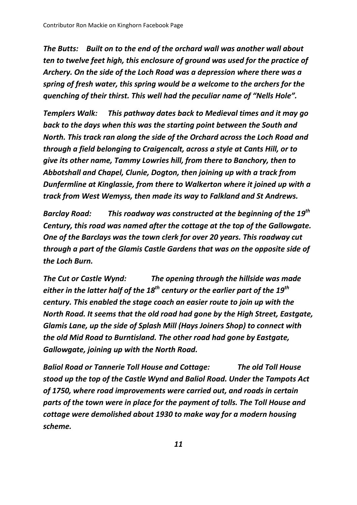*The Butts: Built on to the end of the orchard wall was another wall about ten to twelve feet high, this enclosure of ground was used for the practice of Archery. On the side of the Loch Road was a depression where there was a spring of fresh water, this spring would be a welcome to the archers for the quenching of their thirst. This well had the peculiar name of "Nells Hole".*

*Templers Walk: This pathway dates back to Medieval times and it may go back to the days when this was the starting point between the South and North. This track ran along the side of the Orchard across the Loch Road and through a field belonging to Craigencalt, across a style at Cants Hill, or to give its other name, Tammy Lowries hill, from there to Banchory, then to Abbotshall and Chapel, Clunie, Dogton, then joining up with a track from Dunfermline at Kinglassie, from there to Walkerton where it joined up with a track from West Wemyss, then made its way to Falkland and St Andrews.*

*Barclay Road: This roadway was constructed at the beginning of the 19 th Century, this road was named after the cottage at the top of the Gallowgate. One of the Barclays was the town clerk for over 20 years. This roadway cut through a part of the Glamis Castle Gardens that was on the opposite side of the Loch Burn.*

*The Cut or Castle Wynd: The opening through the hillside was made either in the latter half of the 18th century or the earlier part of the 19th century. This enabled the stage coach an easier route to join up with the North Road. It seems that the old road had gone by the High Street, Eastgate, Glamis Lane, up the side of Splash Mill (Hays Joiners Shop) to connect with the old Mid Road to Burntisland. The other road had gone by Eastgate, Gallowgate, joining up with the North Road.*

*Baliol Road or Tannerie Toll House and Cottage: The old Toll House stood up the top of the Castle Wynd and Baliol Road. Under the Tampots Act of 1750, where road improvements were carried out, and roads in certain parts of the town were in place for the payment of tolls. The Toll House and cottage were demolished about 1930 to make way for a modern housing scheme.*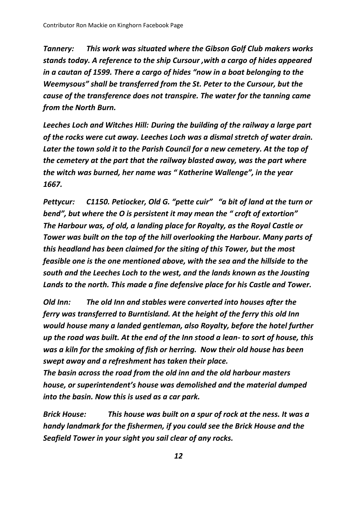*Tannery: This work was situated where the Gibson Golf Club makers works stands today. A reference to the ship Cursour ,with a cargo of hides appeared in a cautan of 1599. There a cargo of hides "now in a boat belonging to the Weemysous" shall be transferred from the St. Peter to the Cursour, but the cause of the transference does not transpire. The water for the tanning came from the North Burn.*

*Leeches Loch and Witches Hill: During the building of the railway a large part of the rocks were cut away. Leeches Loch was a dismal stretch of water drain. Later the town sold it to the Parish Council for a new cemetery. At the top of the cemetery at the part that the railway blasted away, was the part where the witch was burned, her name was " Katherine Wallenge", in the year 1667.* 

*Pettycur: C1150. Petiocker, Old G. "pette cuir" "a bit of land at the turn or bend", but where the O is persistent it may mean the " croft of extortion" The Harbour was, of old, a landing place for Royalty, as the Royal Castle or Tower was built on the top of the hill overlooking the Harbour. Many parts of this headland has been claimed for the siting of this Tower, but the most feasible one is the one mentioned above, with the sea and the hillside to the south and the Leeches Loch to the west, and the lands known as the Jousting Lands to the north. This made a fine defensive place for his Castle and Tower.* 

*Old Inn: The old Inn and stables were converted into houses after the ferry was transferred to Burntisland. At the height of the ferry this old Inn would house many a landed gentleman, also Royalty, before the hotel further up the road was built. At the end of the Inn stood a lean- to sort of house, this was a kiln for the smoking of fish or herring. Now their old house has been swept away and a refreshment has taken their place.* 

*The basin across the road from the old inn and the old harbour masters house, or superintendent's house was demolished and the material dumped into the basin. Now this is used as a car park.*

*Brick House: This house was built on a spur of rock at the ness. It was a handy landmark for the fishermen, if you could see the Brick House and the Seafield Tower in your sight you sail clear of any rocks.*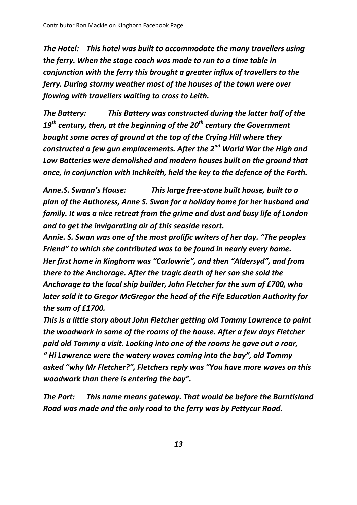*The Hotel: This hotel was built to accommodate the many travellers using the ferry. When the stage coach was made to run to a time table in conjunction with the ferry this brought a greater influx of travellers to the ferry. During stormy weather most of the houses of the town were over flowing with travellers waiting to cross to Leith.*

*The Battery: This Battery was constructed during the latter half of the 19th century, then, at the beginning of the 20th century the Government bought some acres of ground at the top of the Crying Hill where they constructed a few gun emplacements. After the 2nd World War the High and Low Batteries were demolished and modern houses built on the ground that once, in conjunction with Inchkeith, held the key to the defence of the Forth.* 

*Anne.S. Swann's House: This large free-stone built house, built to a plan of the Authoress, Anne S. Swan for a holiday home for her husband and family. It was a nice retreat from the grime and dust and busy life of London and to get the invigorating air of this seaside resort.* 

*Annie. S. Swan was one of the most prolific writers of her day. "The peoples Friend" to which she contributed was to be found in nearly every home. Her first home in Kinghorn was "Carlowrie", and then "Aldersyd", and from there to the Anchorage. After the tragic death of her son she sold the Anchorage to the local ship builder, John Fletcher for the sum of £700, who later sold it to Gregor McGregor the head of the Fife Education Authority for the sum of £1700.* 

*This is a little story about John Fletcher getting old Tommy Lawrence to paint the woodwork in some of the rooms of the house. After a few days Fletcher paid old Tommy a visit. Looking into one of the rooms he gave out a roar, " Hi Lawrence were the watery waves coming into the bay", old Tommy asked "why Mr Fletcher?", Fletchers reply was "You have more waves on this woodwork than there is entering the bay".*

*The Port: This name means gateway. That would be before the Burntisland Road was made and the only road to the ferry was by Pettycur Road.*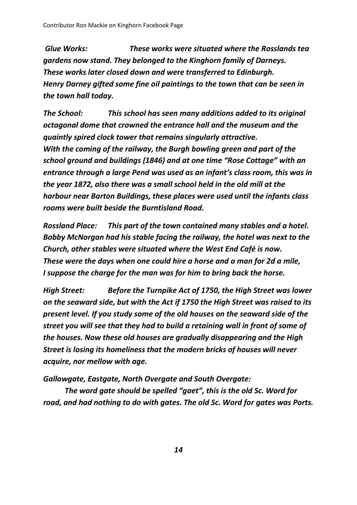*Glue Works: These works were situated where the Rosslands tea gardens now stand. They belonged to the Kinghorn family of Darneys. These works later closed down and were transferred to Edinburgh. Henry Darney gifted some fine oil paintings to the town that can be seen in the town hall today.*

*The School: This school has seen many additions added to its original octagonal dome that crowned the entrance hall and the museum and the quaintly spired clock tower that remains singularly attractive. With the coming of the railway, the Burgh bowling green and part of the school ground and buildings (1846) and at one time "Rose Cottage" with an entrance through a large Pend was used as an infant's class room, this was in the year 1872, also there was a small school held in the old mill at the harbour near Barton Buildings, these places were used until the infants class rooms were built beside the Burntisland Road.*

*Rossland Place: This part of the town contained many stables and a hotel. Bobby McNorgan had his stable facing the railway, the hotel was next to the Church, other stables were situated where the West End Café is now. These were the days when one could hire a horse and a man for 2d a mile, I suppose the charge for the man was for him to bring back the horse.*

*High Street: Before the Turnpike Act of 1750, the High Street was lower on the seaward side, but with the Act if 1750 the High Street was raised to its present level. If you study some of the old houses on the seaward side of the street you will see that they had to build a retaining wall in front of some of the houses. Now these old houses are gradually disappearing and the High Street is losing its homeliness that the modern bricks of houses will never acquire, nor mellow with age.*

*Gallowgate, Eastgate, North Overgate and South Overgate:*

*The word gate should be spelled "gaet", this is the old Sc. Word for road, and had nothing to do with gates. The old Sc. Word for gates was Ports.*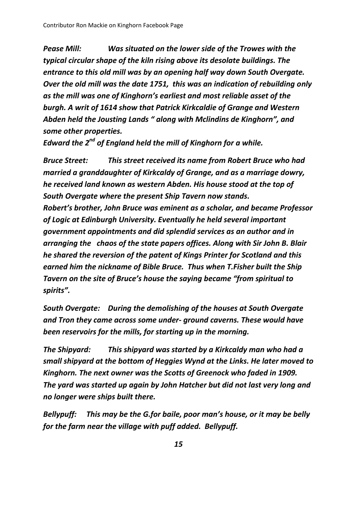*Pease Mill: Was situated on the lower side of the Trowes with the typical circular shape of the kiln rising above its desolate buildings. The entrance to this old mill was by an opening half way down South Overgate. Over the old mill was the date 1751, this was an indication of rebuilding only as the mill was one of Kinghorn's earliest and most reliable asset of the burgh. A writ of 1614 show that Patrick Kirkcaldie of Grange and Western Abden held the Jousting Lands " along with Mclindins de Kinghorn", and some other properties.* 

*Edward the 2nd of England held the mill of Kinghorn for a while.*

*Bruce Street: This street received its name from Robert Bruce who had married a granddaughter of Kirkcaldy of Grange, and as a marriage dowry, he received land known as western Abden. His house stood at the top of South Overgate where the present Ship Tavern now stands. Robert's brother, John Bruce was eminent as a scholar, and became Professor of Logic at Edinburgh University. Eventually he held several important government appointments and did splendid services as an author and in arranging the chaos of the state papers offices. Along with Sir John B. Blair he shared the reversion of the patent of Kings Printer for Scotland and this earned him the nickname of Bible Bruce. Thus when T.Fisher built the Ship Tavern on the site of Bruce's house the saying became "from spiritual to spirits".*

*South Overgate: During the demolishing of the houses at South Overgate and Tron they came across some under- ground caverns. These would have been reservoirs for the mills, for starting up in the morning.* 

*The Shipyard: This shipyard was started by a Kirkcaldy man who had a small shipyard at the bottom of Heggies Wynd at the Links. He later moved to Kinghorn. The next owner was the Scotts of Greenock who faded in 1909. The yard was started up again by John Hatcher but did not last very long and no longer were ships built there.*

*Bellypuff: This may be the G.for baile, poor man's house, or it may be belly for the farm near the village with puff added. Bellypuff.*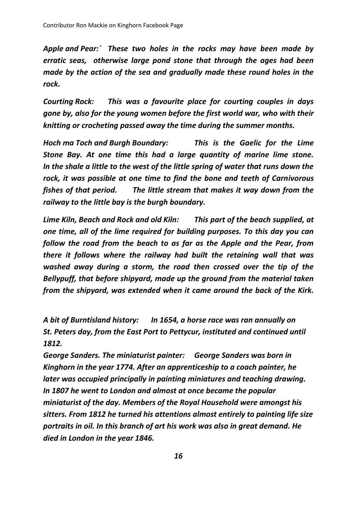*Apple and Pear:` These two holes in the rocks may have been made by erratic seas, otherwise large pond stone that through the ages had been made by the action of the sea and gradually made these round holes in the rock.*

*Courting Rock: This was a favourite place for courting couples in days gone by, also for the young women before the first world war, who with their knitting or crocheting passed away the time during the summer months.* 

*Hoch ma Toch and Burgh Boundary: This is the Gaelic for the Lime Stone Bay. At one time this had a large quantity of marine lime stone. In the shale a little to the west of the little spring of water that runs down the rock, it was possible at one time to find the bone and teeth of Carnivorous fishes of that period. The little stream that makes it way down from the railway to the little bay is the burgh boundary.*

*Lime Kiln, Beach and Rock and old Kiln: This part of the beach supplied, at one time, all of the lime required for building purposes. To this day you can follow the road from the beach to as far as the Apple and the Pear, from there it follows where the railway had built the retaining wall that was washed away during a storm, the road then crossed over the tip of the Bellypuff, that before shipyard, made up the ground from the material taken from the shipyard, was extended when it came around the back of the Kirk.* 

*A bit of Burntisland history: In 1654, a horse race was ran annually on St. Peters day, from the East Port to Pettycur, instituted and continued until 1812.* 

*George Sanders. The miniaturist painter: George Sanders was born in Kinghorn in the year 1774. After an apprenticeship to a coach painter, he later was occupied principally in painting miniatures and teaching drawing. In 1807 he went to London and almost at once became the popular miniaturist of the day. Members of the Royal Household were amongst his sitters. From 1812 he turned his attentions almost entirely to painting life size portraits in oil. In this branch of art his work was also in great demand. He died in London in the year 1846.*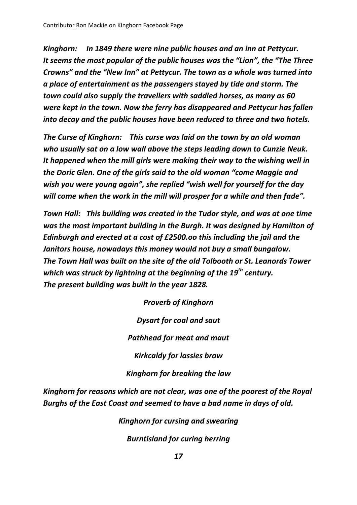*Kinghorn: In 1849 there were nine public houses and an inn at Pettycur. It seems the most popular of the public houses was the "Lion", the "The Three Crowns" and the "New Inn" at Pettycur. The town as a whole was turned into a place of entertainment as the passengers stayed by tide and storm. The town could also supply the travellers with saddled horses, as many as 60 were kept in the town. Now the ferry has disappeared and Pettycur has fallen into decay and the public houses have been reduced to three and two hotels.*

*The Curse of Kinghorn: This curse was laid on the town by an old woman who usually sat on a low wall above the steps leading down to Cunzie Neuk. It happened when the mill girls were making their way to the wishing well in the Doric Glen. One of the girls said to the old woman "come Maggie and wish you were young again", she replied "wish well for yourself for the day will come when the work in the mill will prosper for a while and then fade".* 

*Town Hall: This building was created in the Tudor style, and was at one time was the most important building in the Burgh. It was designed by Hamilton of Edinburgh and erected at a cost of £2500.oo this including the jail and the Janitors house, nowadays this money would not buy a small bungalow. The Town Hall was built on the site of the old Tolbooth or St. Leanords Tower which was struck by lightning at the beginning of the 19th century. The present building was built in the year 1828.*

> *Proverb of Kinghorn Dysart for coal and saut Pathhead for meat and maut Kirkcaldy for lassies braw Kinghorn for breaking the law*

*Kinghorn for reasons which are not clear, was one of the poorest of the Royal Burghs of the East Coast and seemed to have a bad name in days of old.*

*Kinghorn for cursing and swearing*

*Burntisland for curing herring*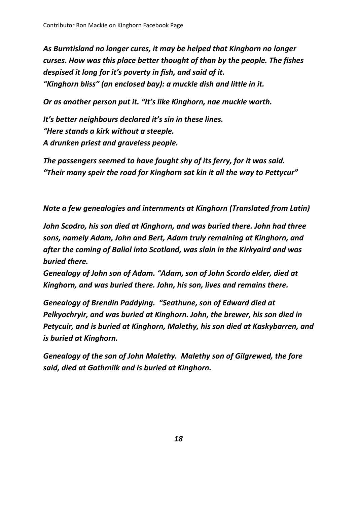*As Burntisland no longer cures, it may be helped that Kinghorn no longer curses. How was this place better thought of than by the people. The fishes despised it long for it's poverty in fish, and said of it. "Kinghorn bliss" (an enclosed bay): a muckle dish and little in it.* 

*Or as another person put it. "It's like Kinghorn, nae muckle worth.*

*It's better neighbours declared it's sin in these lines. "Here stands a kirk without a steeple. A drunken priest and graveless people.*

*The passengers seemed to have fought shy of its ferry, for it was said. "Their many speir the road for Kinghorn sat kin it all the way to Pettycur"*

*Note a few genealogies and internments at Kinghorn (Translated from Latin)*

*John Scodro, his son died at Kinghorn, and was buried there. John had three sons, namely Adam, John and Bert, Adam truly remaining at Kinghorn, and after the coming of Baliol into Scotland, was slain in the Kirkyaird and was buried there.* 

*Genealogy of John son of Adam. "Adam, son of John Scordo elder, died at Kinghorn, and was buried there. John, his son, lives and remains there.*

*Genealogy of Brendin Paddying. "Seathune, son of Edward died at Pelkyochryir, and was buried at Kinghorn. John, the brewer, his son died in Petycuir, and is buried at Kinghorn, Malethy, his son died at Kaskybarren, and is buried at Kinghorn.*

*Genealogy of the son of John Malethy. Malethy son of Gilgrewed, the fore said, died at Gathmilk and is buried at Kinghorn.*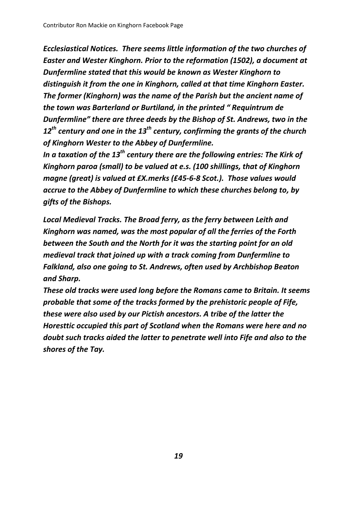*Ecclesiastical Notices. There seems little information of the two churches of Easter and Wester Kinghorn. Prior to the reformation (1502), a document at Dunfermline stated that this would be known as Wester Kinghorn to distinguish it from the one in Kinghorn, called at that time Kinghorn Easter. The former (Kinghorn) was the name of the Parish but the ancient name of the town was Barterland or Burtiland, in the printed " Requintrum de Dunfermline" there are three deeds by the Bishop of St. Andrews, two in the 12th century and one in the 13th century, confirming the grants of the church of Kinghorn Wester to the Abbey of Dunfermline.* 

*In a taxation of the 13th century there are the following entries: The Kirk of Kinghorn paroa (small) to be valued at e.s. (100 shillings, that of Kinghorn magne (great) is valued at £X.merks (£45-6-8 Scot.). Those values would accrue to the Abbey of Dunfermline to which these churches belong to, by gifts of the Bishops.*

*Local Medieval Tracks. The Broad ferry, as the ferry between Leith and Kinghorn was named, was the most popular of all the ferries of the Forth between the South and the North for it was the starting point for an old medieval track that joined up with a track coming from Dunfermline to Falkland, also one going to St. Andrews, often used by Archbishop Beaton and Sharp.* 

*These old tracks were used long before the Romans came to Britain. It seems probable that some of the tracks formed by the prehistoric people of Fife, these were also used by our Pictish ancestors. A tribe of the latter the Horesttic occupied this part of Scotland when the Romans were here and no doubt such tracks aided the latter to penetrate well into Fife and also to the shores of the Tay.*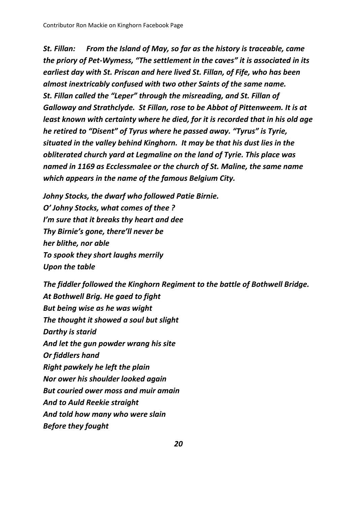*St. Fillan: From the Island of May, so far as the history is traceable, came the priory of Pet-Wymess, "The settlement in the caves" it is associated in its earliest day with St. Priscan and here lived St. Fillan, of Fife, who has been almost inextricably confused with two other Saints of the same name. St. Fillan called the "Leper" through the misreading, and St. Fillan of Galloway and Strathclyde. St Fillan, rose to be Abbot of Pittenweem. It is at least known with certainty where he died, for it is recorded that in his old age he retired to "Disent" of Tyrus where he passed away. "Tyrus" is Tyrie, situated in the valley behind Kinghorn. It may be that his dust lies in the obliterated church yard at Legmaline on the land of Tyrie. This place was named in 1169 as Ecclessmalee or the church of St. Maline, the same name which appears in the name of the famous Belgium City.* 

*Johny Stocks, the dwarf who followed Patie Birnie. O' Johny Stocks, what comes of thee ? I'm sure that it breaks thy heart and dee Thy Birnie's gone, there'll never be her blithe, nor able To spook they short laughs merrily Upon the table*

*The fiddler followed the Kinghorn Regiment to the battle of Bothwell Bridge. At Bothwell Brig. He gaed to fight But being wise as he was wight The thought it showed a soul but slight Darthy is starid And let the gun powder wrang his site Or fiddlers hand Right pawkely he left the plain Nor ower his shoulder looked again But couried ower moss and muir amain And to Auld Reekie straight And told how many who were slain Before they fought*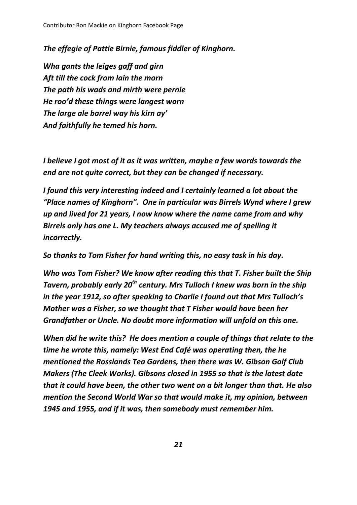*The effegie of Pattie Birnie, famous fiddler of Kinghorn.*

*Wha gants the leiges gaff and girn Aft till the cock from lain the morn The path his wads and mirth were pernie He roo'd these things were langest worn The large ale barrel way his kirn ay' And faithfully he temed his horn.*

*I believe I got most of it as it was written, maybe a few words towards the end are not quite correct, but they can be changed if necessary.*

*I found this very interesting indeed and I certainly learned a lot about the "Place names of Kinghorn". One in particular was Birrels Wynd where I grew up and lived for 21 years, I now know where the name came from and why Birrels only has one L. My teachers always accused me of spelling it incorrectly.*

*So thanks to Tom Fisher for hand writing this, no easy task in his day.*

*Who was Tom Fisher? We know after reading this that T. Fisher built the Ship Tavern, probably early 20th century. Mrs Tulloch I knew was born in the ship in the year 1912, so after speaking to Charlie I found out that Mrs Tulloch's Mother was a Fisher, so we thought that T Fisher would have been her Grandfather or Uncle. No doubt more information will unfold on this one.*

*When did he write this? He does mention a couple of things that relate to the time he wrote this, namely: West End Café was operating then, the he mentioned the Rosslands Tea Gardens, then there was W. Gibson Golf Club Makers (The Cleek Works). Gibsons closed in 1955 so that is the latest date that it could have been, the other two went on a bit longer than that. He also mention the Second World War so that would make it, my opinion, between 1945 and 1955, and if it was, then somebody must remember him.*